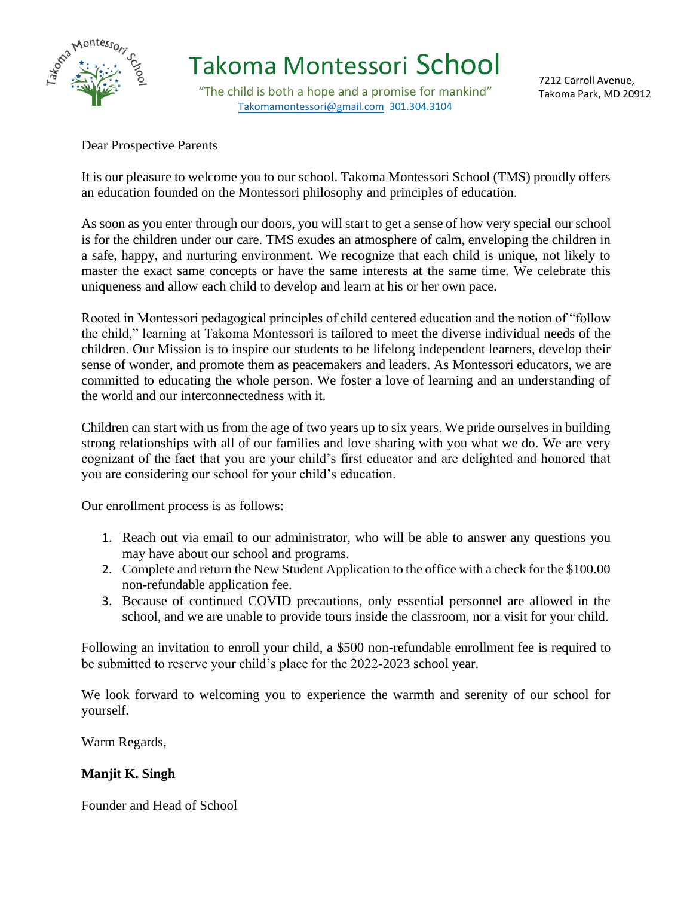

"The child is both a hope and a promise for mankind" [Takomamontessori@gmail.com](mailto:Takomamontessori@gmail.com) 301.304.3104

7212 Carroll Avenue, Takoma Park, MD 20912

### Dear Prospective Parents

It is our pleasure to welcome you to our school. Takoma Montessori School (TMS) proudly offers an education founded on the Montessori philosophy and principles of education.

As soon as you enter through our doors, you will start to get a sense of how very special our school is for the children under our care. TMS exudes an atmosphere of calm, enveloping the children in a safe, happy, and nurturing environment. We recognize that each child is unique, not likely to master the exact same concepts or have the same interests at the same time. We celebrate this uniqueness and allow each child to develop and learn at his or her own pace.

Rooted in Montessori pedagogical principles of child centered education and the notion of "follow the child," learning at Takoma Montessori is tailored to meet the diverse individual needs of the children. Our Mission is to inspire our students to be lifelong independent learners, develop their sense of wonder, and promote them as peacemakers and leaders. As Montessori educators, we are committed to educating the whole person. We foster a love of learning and an understanding of the world and our interconnectedness with it.

Children can start with us from the age of two years up to six years. We pride ourselves in building strong relationships with all of our families and love sharing with you what we do. We are very cognizant of the fact that you are your child's first educator and are delighted and honored that you are considering our school for your child's education.

Our enrollment process is as follows:

- 1. Reach out via email to our administrator, who will be able to answer any questions you may have about our school and programs.
- 2. Complete and return the New Student Application to the office with a check for the \$100.00 non-refundable application fee.
- 3. Because of continued COVID precautions, only essential personnel are allowed in the school, and we are unable to provide tours inside the classroom, nor a visit for your child.

Following an invitation to enroll your child, a \$500 non-refundable enrollment fee is required to be submitted to reserve your child's place for the 2022-2023 school year.

We look forward to welcoming you to experience the warmth and serenity of our school for yourself.

Warm Regards,

### **Manjit K. Singh**

Founder and Head of School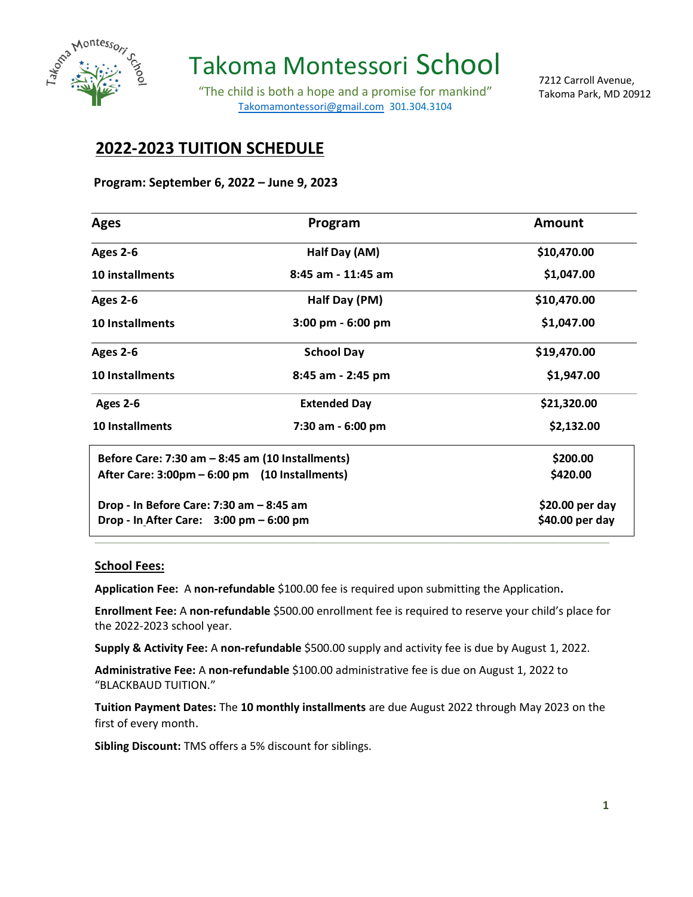

Takoma Montessori School

"The child is both a hope and a promise for mankind" [Takomamontessori@gmail.com](mailto:Takomamontessori@gmail.com) 301.304.3104

7212 Carroll Avenue, Takoma Park, MD 20912

### **2022-2023 TUITION SCHEDULE**

#### **Program: September 6, 2022 – June 9, 2023**

| <b>Ages</b>                                               | Program                             | <b>Amount</b> |
|-----------------------------------------------------------|-------------------------------------|---------------|
| Ages 2-6                                                  | Half Day (AM)                       | \$10,470.00   |
| 10 installments                                           | 8:45 am - 11:45 am                  | \$1,047.00    |
| <b>Ages 2-6</b>                                           | Half Day (PM)                       | \$10,470.00   |
| <b>10 Installments</b>                                    | $3:00 \text{ pm} - 6:00 \text{ pm}$ | \$1,047.00    |
| Ages 2-6                                                  | <b>School Day</b>                   | \$19,470.00   |
| <b>10 Installments</b>                                    | 8:45 am - 2:45 pm                   | \$1,947.00    |
| <b>Ages 2-6</b>                                           | <b>Extended Day</b>                 | \$21,320.00   |
| <b>10 Installments</b>                                    | 7:30 am - 6:00 pm                   | \$2,132.00    |
| Before Care: $7:30$ am $-8:45$ am (10 Installments)       | \$200.00                            |               |
| After Care: 3:00pm – 6:00 pm (10 Installments)            |                                     | \$420.00      |
| Drop - In Before Care: 7:30 am - 8:45 am                  | \$20.00 per day                     |               |
| Drop - In After Care: $3:00 \text{ pm} - 6:00 \text{ pm}$ | \$40.00 per day                     |               |

#### **School Fees:**

**Application Fee:** A **non-refundable** \$100.00 fee is required upon submitting the Application**.**

**Enrollment Fee:** A **non-refundable** \$500.00 enrollment fee is required to reserve your child's place for the 2022-2023 school year.

**\_\_\_\_\_\_\_\_\_\_\_\_\_\_\_\_\_\_\_\_\_\_\_\_\_\_\_\_\_\_\_\_\_\_\_\_\_\_\_\_\_\_\_\_\_\_\_\_\_\_\_\_\_\_\_\_\_\_\_\_\_\_\_\_\_\_\_\_\_\_\_\_\_\_\_\_\_\_\_\_\_\_\_\_\_\_\_\_\_\_\_\_\_\_\_\_\_\_\_\_\_\_\_\_\_\_\_\_\_\_\_\_\_\_\_\_\_\_\_\_\_\_\_\_\_\_\_\_\_\_\_\_\_\_\_\_\_\_\_\_\_\_\_\_\_\_\_\_\_\_\_\_\_\_\_\_\_\_\_\_\_\_\_\_\_\_\_\_\_\_\_\_\_\_\_\_\_\_\_\_\_\_**

**Supply & Activity Fee:** A **non-refundable** \$500.00 supply and activity fee is due by August 1, 2022.

**Administrative Fee:** A **non-refundable** \$100.00 administrative fee is due on August 1, 2022 to "BLACKBAUD TUITION."

**Tuition Payment Dates:** The **10 monthly installments** are due August 2022 through May 2023 on the first of every month.

**Sibling Discount:** TMS offers a 5% discount for siblings.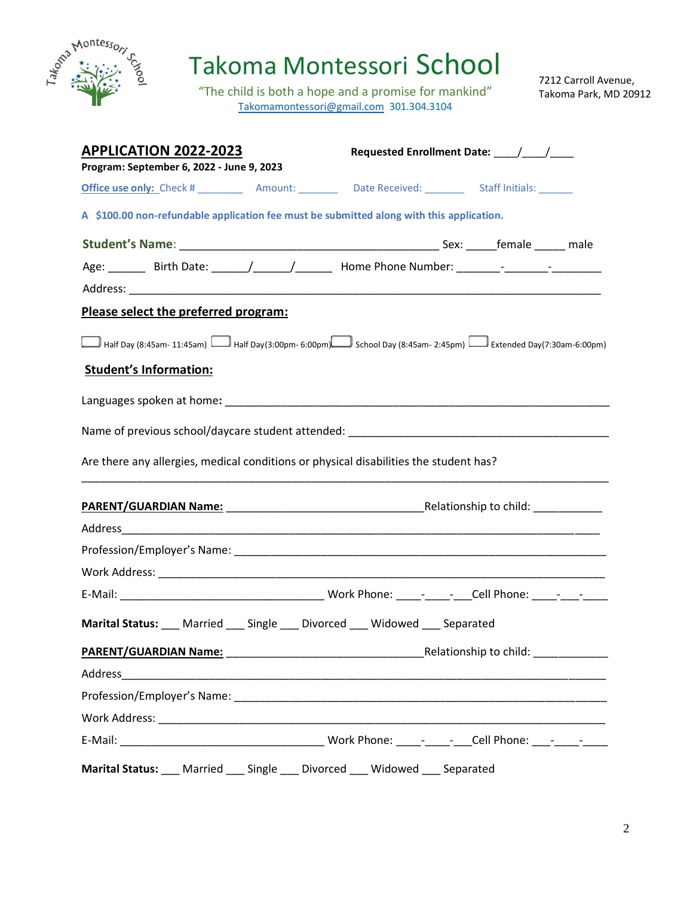

"The child is both a hope and a promise for mankind" [Takomamontessori@gmail.com](mailto:Takomamontessori@gmail.com) 301.304.3104

7212 Carroll Avenue, Takoma Park, MD 20912

| <b>APPLICATION 2022-2023</b><br>Program: September 6, 2022 - June 9, 2023                |                                                                                                           |
|------------------------------------------------------------------------------------------|-----------------------------------------------------------------------------------------------------------|
|                                                                                          |                                                                                                           |
| A \$100.00 non-refundable application fee must be submitted along with this application. |                                                                                                           |
|                                                                                          |                                                                                                           |
|                                                                                          | Age: ________ Birth Date: ______/______/________ Home Phone Number: _______- -_______- -___________       |
|                                                                                          |                                                                                                           |
| Please select the preferred program:                                                     |                                                                                                           |
| <b>Student's Information:</b>                                                            | Half Day (8:45am- 11:45am) Half Day (3:00pm- 6:00pm) School Day (8:45am- 2:45pm) Half Day (7:30am-6:00pm) |
|                                                                                          |                                                                                                           |
| Name of previous school/daycare student attended: ______________________________         |                                                                                                           |
| Are there any allergies, medical conditions or physical disabilities the student has?    |                                                                                                           |
|                                                                                          |                                                                                                           |
|                                                                                          |                                                                                                           |
|                                                                                          |                                                                                                           |
|                                                                                          |                                                                                                           |
|                                                                                          |                                                                                                           |
| Marital Status: __ Married __ Single __ Divorced __ Widowed __ Separated                 |                                                                                                           |
| PARENT/GUARDIAN Name:                                                                    |                                                                                                           |
|                                                                                          |                                                                                                           |
|                                                                                          |                                                                                                           |
|                                                                                          |                                                                                                           |
|                                                                                          |                                                                                                           |
| Marital Status: __ Married __ Single __ Divorced __ Widowed __ Separated                 |                                                                                                           |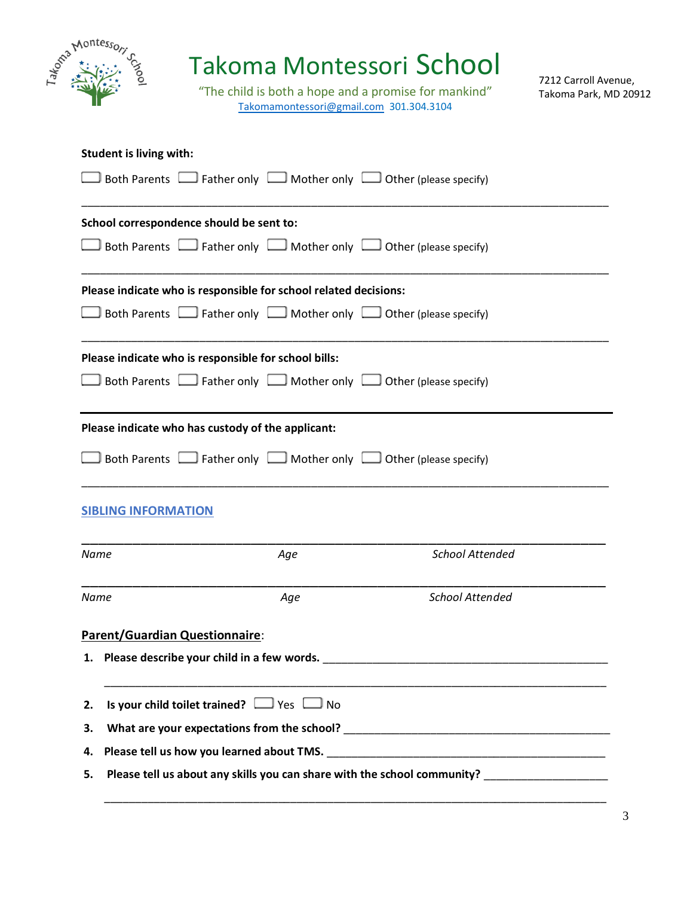| John Montesson                           | Takoma Montessori School<br>"The child is both a hope and a promise for mankind"<br>Takomamontessori@gmail.com 301.304.3104 |                        | 7212 Carroll Avenue,<br>Takoma Park, MD 20912 |
|------------------------------------------|-----------------------------------------------------------------------------------------------------------------------------|------------------------|-----------------------------------------------|
| <b>Student is living with:</b>           |                                                                                                                             |                        |                                               |
|                                          | Both Parents $\Box$ Father only $\Box$ Mother only $\Box$ Other (please specify)                                            |                        |                                               |
| School correspondence should be sent to: |                                                                                                                             |                        |                                               |
|                                          | Both Parents $\Box$ Father only $\Box$ Mother only $\Box$ Other (please specify)                                            |                        |                                               |
|                                          | Please indicate who is responsible for school related decisions:                                                            |                        |                                               |
|                                          | Both Parents $\Box$ Father only $\Box$ Mother only $\Box$ Other (please specify)                                            |                        |                                               |
|                                          | Please indicate who is responsible for school bills:                                                                        |                        |                                               |
|                                          | Both Parents $\Box$ Father only $\Box$ Mother only $\Box$ Other (please specify)                                            |                        |                                               |
|                                          | Please indicate who has custody of the applicant:                                                                           |                        |                                               |
|                                          | Both Parents $\Box$ Father only $\Box$ Mother only $\Box$ Other (please specify)                                            |                        |                                               |
| <b>SIBLING INFORMATION</b>               |                                                                                                                             |                        |                                               |
| Name                                     | Age                                                                                                                         | <b>School Attended</b> |                                               |
| Name                                     | Age                                                                                                                         | School Attended        |                                               |
| Parent/Guardian Questionnaire:           |                                                                                                                             |                        |                                               |

**2. Is your child toilet trained?**  $\Box$  Yes  $\Box$  No

**3. What are your expectations from the school?** \_\_\_\_\_\_\_\_\_\_\_\_\_\_\_\_\_\_\_\_\_\_\_\_\_\_\_\_\_\_\_\_\_\_\_\_\_\_\_\_\_\_\_

**4. Please tell us how you learned about TMS.** \_\_\_\_\_\_\_\_\_\_\_\_\_\_\_\_\_\_\_\_\_\_\_\_\_\_\_\_\_\_\_\_\_\_\_\_\_\_\_\_\_\_\_\_\_

**5. Please tell us about any skills you can share with the school community?** \_\_\_\_\_\_\_\_\_\_\_\_\_\_\_\_\_\_\_\_

\_\_\_\_\_\_\_\_\_\_\_\_\_\_\_\_\_\_\_\_\_\_\_\_\_\_\_\_\_\_\_\_\_\_\_\_\_\_\_\_\_\_\_\_\_\_\_\_\_\_\_\_\_\_\_\_\_\_\_\_\_\_\_\_\_\_\_\_\_\_\_\_\_\_\_\_\_\_\_\_\_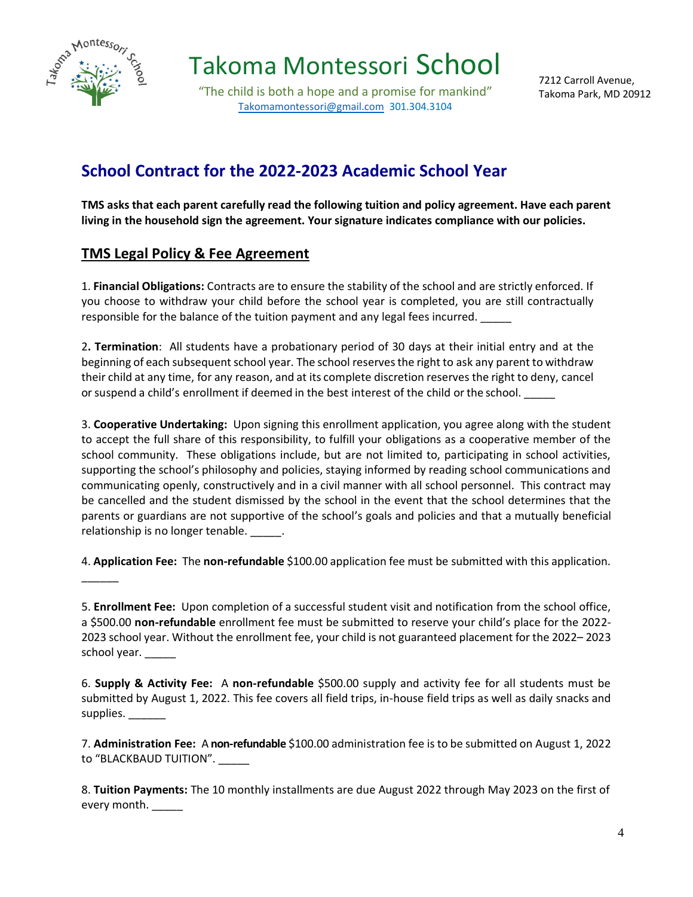

 $\overline{\phantom{a}}$ 

Takoma Montessori School

"The child is both a hope and a promise for mankind" [Takomamontessori@gmail.com](mailto:Takomamontessori@gmail.com) 301.304.3104

7212 Carroll Avenue, Takoma Park, MD 20912

### **School Contract for the 2022-2023 Academic School Year**

**TMS asks that each parent carefully read the following tuition and policy agreement. Have each parent living in the household sign the agreement. Your signature indicates compliance with our policies.**

### **TMS Legal Policy & Fee Agreement**

1. **Financial Obligations:** Contracts are to ensure the stability of the school and are strictly enforced. If you choose to withdraw your child before the school year is completed, you are still contractually responsible for the balance of the tuition payment and any legal fees incurred. \_\_\_\_\_

2**. Termination**: All students have a probationary period of 30 days at their initial entry and at the beginning of each subsequent school year. The school reserves the right to ask any parent to withdraw their child at any time, for any reason, and at its complete discretion reserves the right to deny, cancel or suspend a child's enrollment if deemed in the best interest of the child or the school.

3. **Cooperative Undertaking:** Upon signing this enrollment application, you agree along with the student to accept the full share of this responsibility, to fulfill your obligations as a cooperative member of the school community. These obligations include, but are not limited to, participating in school activities, supporting the school's philosophy and policies, staying informed by reading school communications and communicating openly, constructively and in a civil manner with all school personnel. This contract may be cancelled and the student dismissed by the school in the event that the school determines that the parents or guardians are not supportive of the school's goals and policies and that a mutually beneficial relationship is no longer tenable. \_\_\_\_\_\_.

4. **Application Fee:** The **non-refundable** \$100.00 application fee must be submitted with this application.

5. **Enrollment Fee:** Upon completion of a successful student visit and notification from the school office, a \$500.00 **non-refundable** enrollment fee must be submitted to reserve your child's place for the 2022- 2023 school year. Without the enrollment fee, your child is not guaranteed placement for the 2022– 2023 school year.

6. **Supply & Activity Fee:** A **non-refundable** \$500.00 supply and activity fee for all students must be submitted by August 1, 2022. This fee covers all field trips, in-house field trips as well as daily snacks and supplies. \_\_\_\_\_\_\_

7. **Administration Fee:** A **non-refundable** \$100.00 administration fee is to be submitted on August 1, 2022 to "BLACKBAUD TUITION". \_\_\_\_\_

8. **Tuition Payments:** The 10 monthly installments are due August 2022 through May 2023 on the first of every month. \_\_\_\_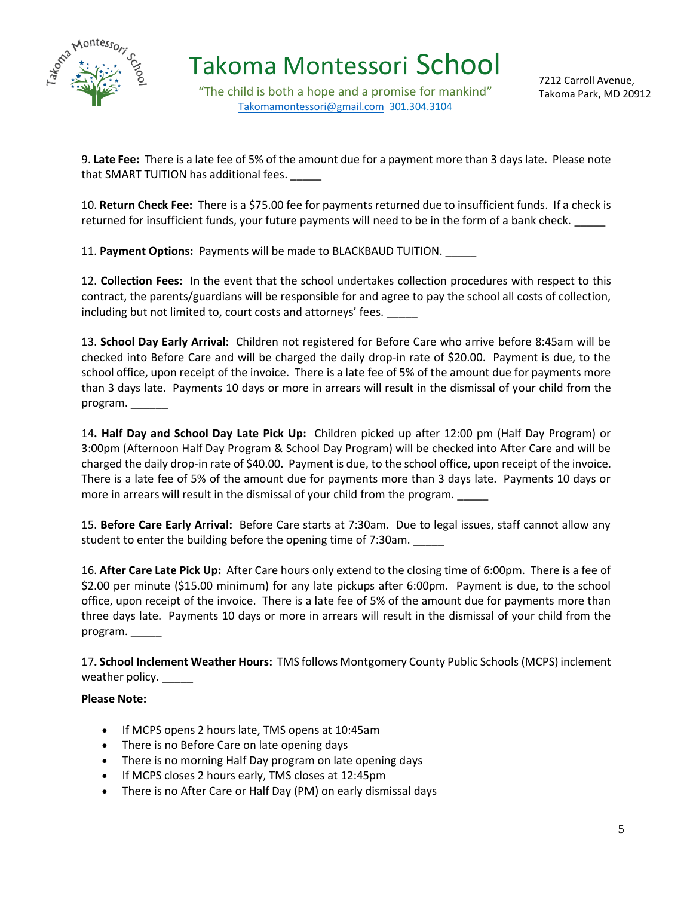

"The child is both a hope and a promise for mankind" [Takomamontessori@gmail.com](mailto:Takomamontessori@gmail.com) 301.304.3104

9. **Late Fee:** There is a late fee of 5% of the amount due for a payment more than 3 days late. Please note that SMART TUITION has additional fees.

10. **Return Check Fee:** There is a \$75.00 fee for payments returned due to insufficient funds. If a check is returned for insufficient funds, your future payments will need to be in the form of a bank check.

11. **Payment Options:** Payments will be made to BLACKBAUD TUITION. \_\_\_\_\_

12. **Collection Fees:** In the event that the school undertakes collection procedures with respect to this contract, the parents/guardians will be responsible for and agree to pay the school all costs of collection, including but not limited to, court costs and attorneys' fees.

13. **School Day Early Arrival:** Children not registered for Before Care who arrive before 8:45am will be checked into Before Care and will be charged the daily drop-in rate of \$20.00. Payment is due, to the school office, upon receipt of the invoice. There is a late fee of 5% of the amount due for payments more than 3 days late. Payments 10 days or more in arrears will result in the dismissal of your child from the program.

14**. Half Day and School Day Late Pick Up:** Children picked up after 12:00 pm (Half Day Program) or 3:00pm (Afternoon Half Day Program & School Day Program) will be checked into After Care and will be charged the daily drop-in rate of \$40.00. Payment is due, to the school office, upon receipt of the invoice. There is a late fee of 5% of the amount due for payments more than 3 days late. Payments 10 days or more in arrears will result in the dismissal of your child from the program. \_\_\_\_

15. **Before Care Early Arrival:** Before Care starts at 7:30am. Due to legal issues, staff cannot allow any student to enter the building before the opening time of 7:30am. \_\_\_\_\_

16. **After Care Late Pick Up:** After Care hours only extend to the closing time of 6:00pm. There is a fee of \$2.00 per minute (\$15.00 minimum) for any late pickups after 6:00pm. Payment is due, to the school office, upon receipt of the invoice. There is a late fee of 5% of the amount due for payments more than three days late. Payments 10 days or more in arrears will result in the dismissal of your child from the program.

17**. School Inclement Weather Hours:** TMS follows Montgomery County Public Schools (MCPS) inclement weather policy. \_\_\_\_\_

#### **Please Note:**

- If MCPS opens 2 hours late, TMS opens at 10:45am
- There is no Before Care on late opening days
- There is no morning Half Day program on late opening days
- If MCPS closes 2 hours early, TMS closes at 12:45pm
- There is no After Care or Half Day (PM) on early dismissal days